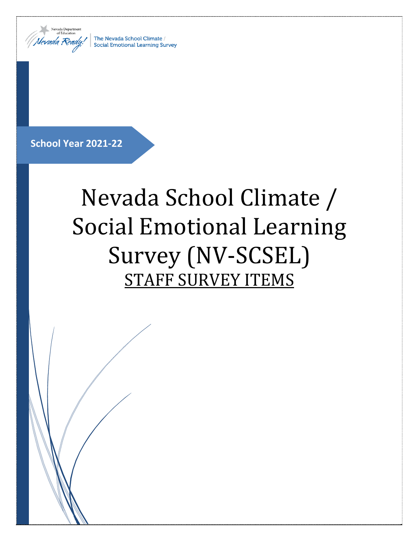

The Nevada School Climate / **Social Emotional Learning Survey** 

# **School Year 2021-22**

# Nevada School Climate / Social Emotional Learning Survey (NV-SCSEL) STAFF SURVEY ITEMS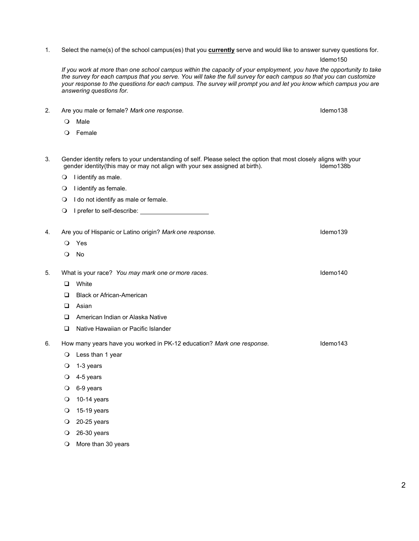# 1. Select the name(s) of the school campus(es) that you **currently** serve and would like to answer survey questions for.

*If you work at more than one school campus within the capacity of your employment, you have the opportunity to take the survey for each campus that you serve. You will take the full survey for each campus so that you can customize*  your response to the questions for each campus. The survey will prompt you and let you know which campus you are *answering questions for.*

- O Male O Female
- 3. Gender identity refers to your understanding of self. Please select the option that most closely aligns with your<br>gender identity(this may or may not align with your sex assigned at birth). gender identity(this may or may not align with your sex assigned at birth).
	- $\bigcirc$  I identify as male.
	- $\bigcirc$  I identify as female.
	- O I do not identify as male or female.
	- O I prefer to self-describe:
- 4. Are you of Hispanic or Latino origin? *Mark one response.* Idemo139
	- Yes
	- No
- 5. What is your race? *You may mark one or more races.* Idemo140
	- **D** White
	- □ Black or African-American
	- **Q** Asian
	- □ American Indian or Alaska Native
	- □ Native Hawaiian or Pacific Islander
- 6. How many years have you worked in PK-12 education? *Mark one response.* Idemo143
	- Less than 1 year
	- $\bigcirc$  1-3 years
	- 4-5 years
	- $O$  6-9 years
	- $O$  10-14 years
	- 15-19 years
	- 20-25 years
	- 26-30 years
	- O More than 30 years

2. Are you male or female? *Mark one response.* Idemo138

ldemo150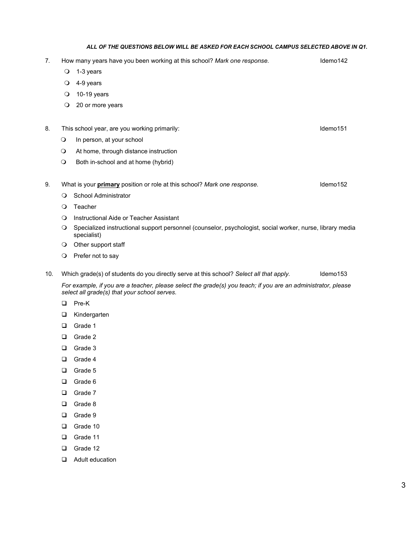#### *ALL OF THE QUESTIONS BELOW WILL BE ASKED FOR EACH SCHOOL CAMPUS SELECTED ABOVE IN Q1.*

7. How many years have you been working at this school? *Mark one response.* Idemo142  $\bigcirc$  1-3 years 4-9 years 10-19 years 20 or more years 8. This school year, are you working primarily: letter and the matter of the local demo151 O In person, at your school At home, through distance instruction O Both in-school and at home (hybrid) 9. What is your **primary** position or role at this school? *Mark one response.* ldemo152 O School Administrator O Teacher Instructional Aide or Teacher Assistant

- Specialized instructional support personnel (counselor, psychologist, social worker, nurse, library media specialist)
- O Other support staff
- O Prefer not to say
- 10. Which grade(s) of students do you directly serve at this school? *Select all that apply.* ldemo153

*For example, if you are a teacher, please select the grade(s) you teach; if you are an administrator, please select all grade(s) that your school serves.*

- D Pre-K
- **D** Kindergarten
- Grade 1
- Grade 2
- Grade 3
- Grade 4
- Grade 5
- □ Grade 6
- □ Grade 7
- Grade 8
- □ Grade 9
- Grade 10
- Grade 11
- Grade 12
- **Q** Adult education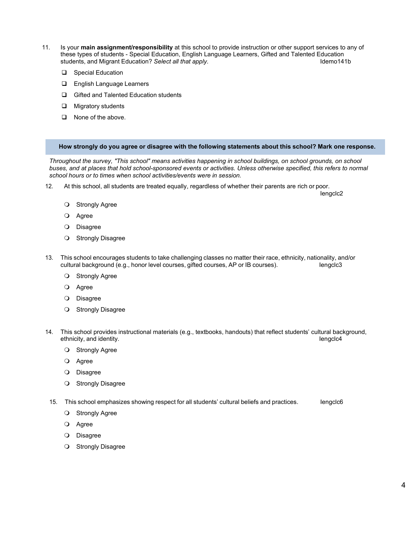- 11. Is your **main assignment/responsibility** at this school to provide instruction or other support services to any of these types of students - Special Education, English Language Learners, Gifted and Talented Education<br>students, and Migrant Education? Select all that apply. students, and Migrant Education? Select all that apply.
	- □ Special Education
	- **English Language Learners**
	- Gifted and Talented Education students
	- **Q** Migratory students
	- □ None of the above.

#### **How strongly do you agree or disagree with the following statements about this school? Mark one response.**

*Throughout the survey, "This school" means activities happening in school buildings, on school grounds, on school buses, and at places that hold school-sponsored events or activities. Unless otherwise specified, this refers to normal school hours or to times when school activities/events were in session.*

12. At this school, all students are treated equally, regardless of whether their parents are rich or poor.

lengclc<sub>2</sub>

- O Strongly Agree
- Agree
- O Disagree
- **O** Strongly Disagree
- 13. This school encourages students to take challenging classes no matter their race, ethnicity, nationality, and/or cultural background (e.g., honor level courses, gifted courses, AP or IB courses). In engclc3
	- **O** Strongly Agree
	- Agree
	- O Disagree
	- **O** Strongly Disagree
- 14. This school provides instructional materials (e.g., textbooks, handouts) that reflect students' cultural background, ethnicity, and identity. In the set of the set of the set of the set of the set of the set of the set of the set of the set of the set of the set of the set of the set of the set of the set of the set of the set of the set
	- O Strongly Agree
	- O Agree
	- O Disagree
	- **O** Strongly Disagree
- 15. This school emphasizes showing respect for all students' cultural beliefs and practices. Inengclc6
	- O Strongly Agree
	- O Agree
	- O Disagree
	- **O** Strongly Disagree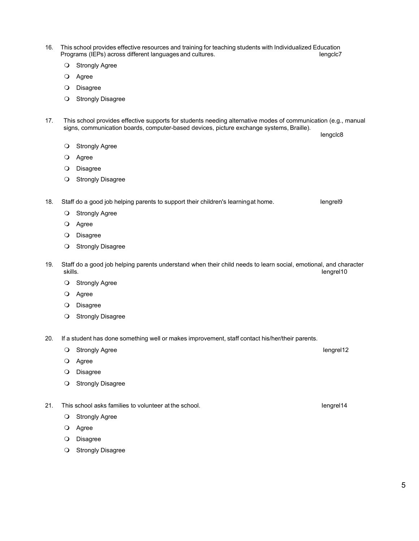- 16. This school provides effective resources and training for teaching students with Individualized Education Programs (IEPs) across different languages and cultures.
	- **O** Strongly Agree
	- Agree
	- Disagree
	- **O** Strongly Disagree
- 17. This school provides effective supports for students needing alternative modes of communication (e.g., manual signs, communication boards, computer-based devices, picture exchange systems, Braille). Iengclc8
	- O Strongly Agree
	- Agree
	- O Disagree
	- **O** Strongly Disagree

18. Staff do a good job helping parents to support their children's learningat home. In engrel9

- O Strongly Agree
- Agree
- O Disagree
- **O** Strongly Disagree
- 19. Staff do a good job helping parents understand when their child needs to learn social, emotional, and character skills. Iengrel10
	- **O** Strongly Agree
	- Agree
	- O Disagree
	- O Strongly Disagree
- 20. If a student has done something well or makes improvement, staff contact his/her/their parents.
	- O Strongly Agree Iengrel12
	- Agree
	- O Disagree
	- **O** Strongly Disagree
- 21. This school asks families to volunteer at the school. In the school of the school of the school of the school of the school.
	- **O** Strongly Agree
	- Agree
	- O Disagree
	- O Strongly Disagree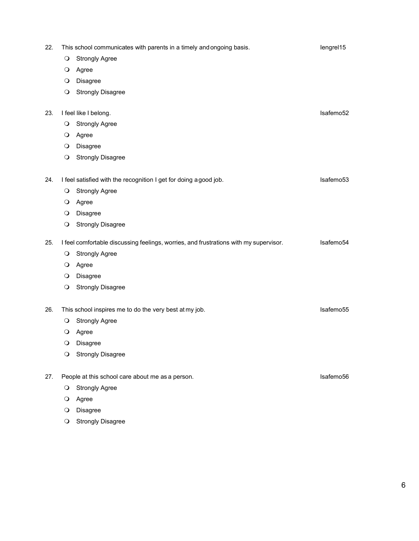| 22. | This school communicates with parents in a timely and ongoing basis.<br>lengrel15 |                                                                                       |           |  |
|-----|-----------------------------------------------------------------------------------|---------------------------------------------------------------------------------------|-----------|--|
|     | $\circ$                                                                           | <b>Strongly Agree</b>                                                                 |           |  |
|     | $\circ$                                                                           | Agree                                                                                 |           |  |
|     | $\circ$                                                                           | Disagree                                                                              |           |  |
|     | $\circ$                                                                           | <b>Strongly Disagree</b>                                                              |           |  |
| 23. | I feel like I belong.<br>Isafemo52                                                |                                                                                       |           |  |
|     | $\circ$                                                                           | <b>Strongly Agree</b>                                                                 |           |  |
|     | $\circ$                                                                           | Agree                                                                                 |           |  |
|     | $\circ$                                                                           | Disagree                                                                              |           |  |
|     | $\circ$                                                                           | <b>Strongly Disagree</b>                                                              |           |  |
| 24. |                                                                                   | I feel satisfied with the recognition I get for doing a good job.                     | Isafemo53 |  |
|     | $\circ$                                                                           | <b>Strongly Agree</b>                                                                 |           |  |
|     | $\circ$                                                                           | Agree                                                                                 |           |  |
|     | $\circ$                                                                           | Disagree                                                                              |           |  |
|     | $\circ$                                                                           | <b>Strongly Disagree</b>                                                              |           |  |
| 25. |                                                                                   | I feel comfortable discussing feelings, worries, and frustrations with my supervisor. | Isafemo54 |  |
|     | $\circ$                                                                           | <b>Strongly Agree</b>                                                                 |           |  |
|     | $\circ$                                                                           | Agree                                                                                 |           |  |
|     | $\circ$                                                                           | Disagree                                                                              |           |  |
|     | $\circ$                                                                           | <b>Strongly Disagree</b>                                                              |           |  |
| 26. | This school inspires me to do the very best at my job.<br>Isafemo55               |                                                                                       |           |  |
|     | $\circ$                                                                           | <b>Strongly Agree</b>                                                                 |           |  |
|     | $\circ$                                                                           | Agree                                                                                 |           |  |
|     | $\circ$                                                                           | Disagree                                                                              |           |  |
|     | $\circ$                                                                           | <b>Strongly Disagree</b>                                                              |           |  |
| 27. |                                                                                   | Isafemo56<br>People at this school care about me as a person.                         |           |  |
|     | $\circ$                                                                           | <b>Strongly Agree</b>                                                                 |           |  |
|     | $\circ$                                                                           | Agree                                                                                 |           |  |
|     |                                                                                   |                                                                                       |           |  |

- O Disagree
- O Strongly Disagree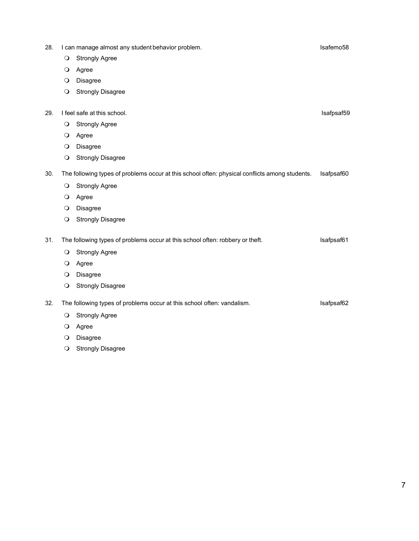- 28. I can manage almost any student behavior problem. In the state of the state of the state Isafemo58 **O** Strongly Agree Agree O Disagree **O** Strongly Disagree 29. I feel safe at this school. In the school state at this school. **O** Strongly Agree O Agree O Disagree **O** Strongly Disagree 30. The following types of problems occur at this school often: physical conflicts among students. Isafpsaf60 **O** Strongly Agree O Agree O Disagree **O** Strongly Disagree 31. The following types of problems occur at this school often: robbery or theft. Safpsaf61 **O** Strongly Agree O Agree O Disagree O Strongly Disagree 32. The following types of problems occur at this school often: vandalism. In the following types of problems occur at this school often: vandalism. **O** Strongly Agree O Agree O Disagree
	- **O** Strongly Disagree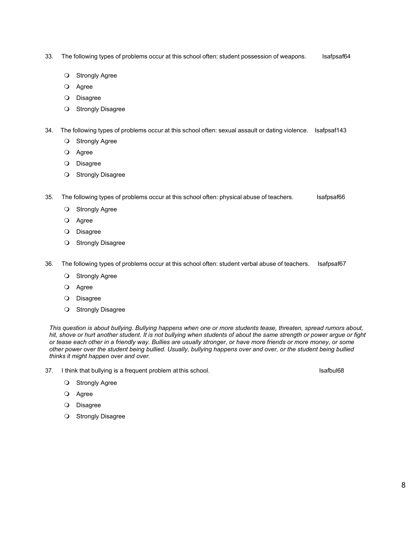- 33. The following types of problems occur at this school often: student possession of weapons. Isafpsaf64
	- O Strongly Agree
	- O Agree
	- O Disagree
	- O Strongly Disagree
- 34. The following types of problems occur at this school often: sexual assault or dating violence. Isafpsaf143
	- **O** Strongly Agree
	- Agree
	- O Disagree
	- **O** Strongly Disagree
- 35. The following types of problems occur at this school often: physical abuse of teachers. Isafpsaf66
	- O Strongly Agree
	- Agree
	- O Disagree
	- **O** Strongly Disagree
- 36. The following types of problems occur at this school often: student verbal abuse of teachers. Isafpsaf67
	- O Strongly Agree
	- Agree
	- O Disagree
	- **O** Strongly Disagree

*This question is about bullying. Bullying happens when one or more students tease, threaten, spread rumors about, hit, shove or hurt another student. It is not bullying when students of about the same strength or power argue or fight or tease each other in a friendly way. Bullies are usually stronger, or have more friends or more money, or some other power over the student being bullied. Usually, bullying happens over and over, or the student being bullied thinks it might happen over and over.*

37. I think that bullying is a frequent problem at this school. In the state of the state state is a local 68

- O Strongly Agree
- O Agree
- O Disagree
- O Strongly Disagree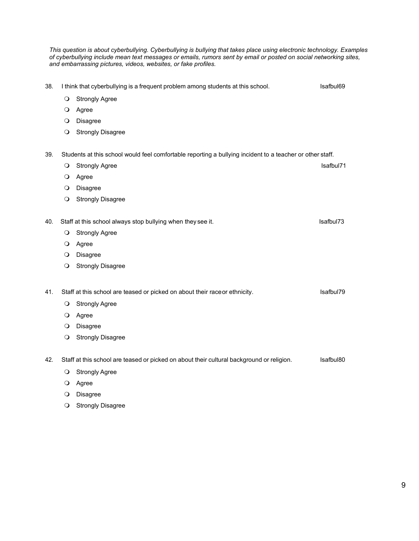*This question is about cyberbullying. Cyberbullying is bullying that takes place using electronic technology. Examples of cyberbullying include mean text messages or emails, rumors sent by email or posted on social networking sites, and embarrassing pictures, videos, websites, or fake profiles.*

- 38. I think that cyberbullying is a frequent problem among students at this school. In think that cyberbul69
	- **O** Strongly Agree
	- O Agree
	- O Disagree
	- O Strongly Disagree

39. Students at this school would feel comfortable reporting a bullying incident to a teacher or other staff.

**Strongly Agree Isafbul71 Strongly Agree** Isafbul71 Agree O Disagree

- **O** Strongly Disagree
- 40. Staff at this school always stop bullying when they see it. In the set of the state of the stafbul73
	- O Strongly Agree
	- Agree
	- O Disagree
	- **O** Strongly Disagree

41. Staff at this school are teased or picked on about their race or ethnicity. Staff at this school are teased or picked on about their race or ethnicity.

- O Strongly Agree
- Agree
- O Disagree
- **O** Strongly Disagree

42. Staff at this school are teased or picked on about their cultural background or religion. Safbul80

- O Strongly Agree
- O Agree
- O Disagree
- O Strongly Disagree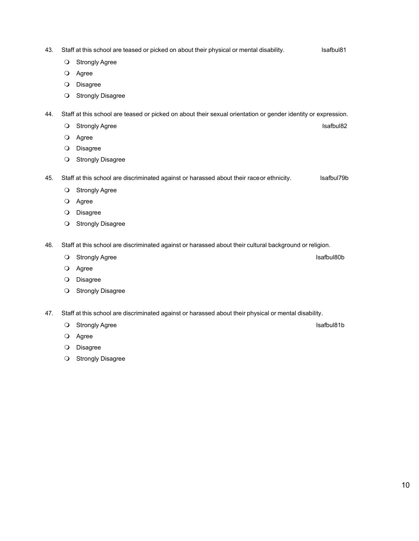- 43. Staff at this school are teased or picked on about their physical or mental disability. Isafbul81
	- O Strongly Agree
	- Agree
	- O Disagree
	- O Strongly Disagree

44. Staff at this school are teased or picked on about their sexual orientation or gender identity or expression.

- O Strongly Agree Isafbul82
	- O Agree
	- O Disagree
	- O Strongly Disagree

45. Staff at this school are discriminated against or harassed about their raceor ethnicity. Safbul79b

- O Strongly Agree
- O Agree
- O Disagree
- O Strongly Disagree
- 46. Staff at this school are discriminated against or harassed about their cultural background or religion.
	- O Strongly Agree Isafbul80b
	- O Agree
	- O Disagree
	- O Strongly Disagree
- 47. Staff at this school are discriminated against or harassed about their physical or mental disability.
	- O Strongly Agree Isafbul81b
		- Agree
		- O Disagree
		- O Strongly Disagree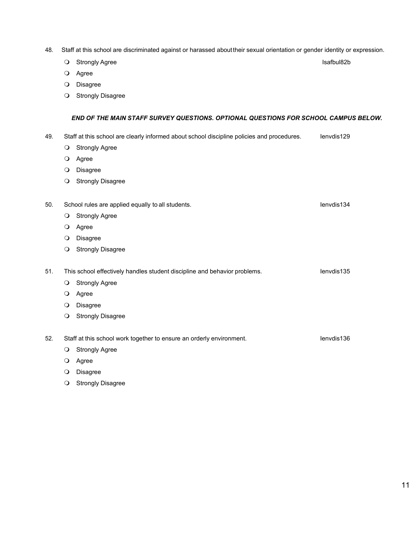- 48. Staff at this school are discriminated against or harassed abouttheir sexual orientation or gender identity or expression.
	- O Strongly Agree Isafbul82b
	- Agree
	- O Disagree
	- O Strongly Disagree

## *END OF THE MAIN STAFF SURVEY QUESTIONS. OPTIONAL QUESTIONS FOR SCHOOL CAMPUS BELOW.*

- 49. Staff at this school are clearly informed about school discipline policies and procedures. Ienvdis129
	- **O** Strongly Agree
	- O Agree
	- O Disagree
	- O Strongly Disagree
- 50. School rules are applied equally to all students. In the state of the state of the state of the state of the state of the state of the state of the state of the state of the state of the state of the state of the state
	- O Strongly Agree
	- Agree
	- O Disagree
	- O Strongly Disagree

51. This school effectively handles student discipline and behavior problems. This school effectively handles student discipline and behavior problems.

- O Strongly Agree
- O Agree
- O Disagree
- **O** Strongly Disagree

52. Staff at this school work together to ensure an orderly environment. Staff at this school work together to ensure an orderly environment.

- O Strongly Agree
- O Agree
- O Disagree
- O Strongly Disagree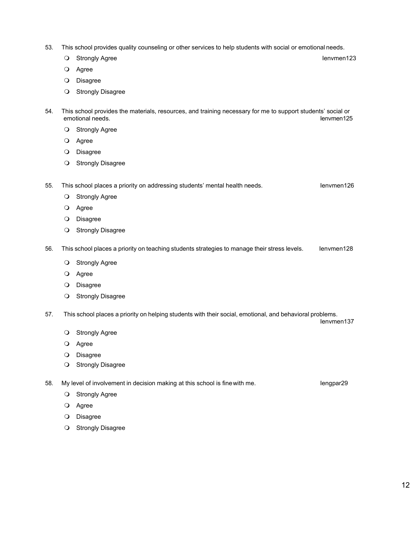- 53. This school provides quality counseling or other services to help students with social or emotional needs.
	- O Strongly Agree Ienvmen123
	- O Agree
	- O Disagree
	- **O** Strongly Disagree

54. This school provides the materials, resources, and training necessary for me to support students' social or emotional needs.

- O Strongly Agree
- Agree
- O Disagree
- **O** Strongly Disagree

55. This school places a priority on addressing students' mental health needs. In the school places a priority on addressing students' mental health needs.

- **O** Strongly Agree
- Agree
- O Disagree
- **O** Strongly Disagree
- 56. This school places a priority on teaching students strategies to manage their stress levels. Ienvmen128
	- O Strongly Agree
	- Agree
	- O Disagree
	- O Strongly Disagree
- 57. This school places a priority on helping students with their social, emotional, and behavioral problems. Ienvmen137
	- **O** Strongly Agree
	- Agree
	- O Disagree
	- **O** Strongly Disagree

58. My level of involvement in decision making at this school is fine with me. **In the same in the set of the set of** lengpar29

- O Strongly Agree
- Agree
- O Disagree
- O Strongly Disagree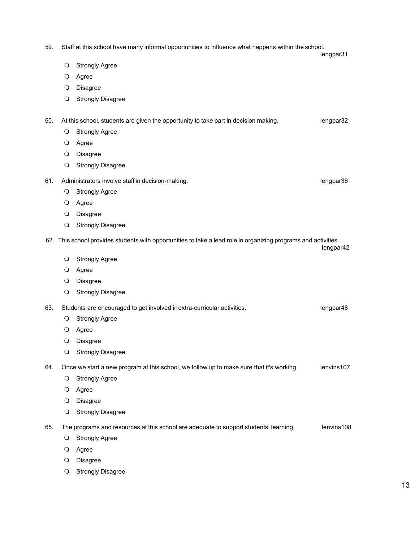| 59. |                                                               | Staff at this school have many informal opportunities to influence what happens within the school.              | lengpar31  |
|-----|---------------------------------------------------------------|-----------------------------------------------------------------------------------------------------------------|------------|
|     | $\circ$                                                       | <b>Strongly Agree</b>                                                                                           |            |
|     | $\circ$                                                       | Agree                                                                                                           |            |
|     | $\circ$                                                       | <b>Disagree</b>                                                                                                 |            |
|     | $\circ$                                                       | <b>Strongly Disagree</b>                                                                                        |            |
| 60. |                                                               | At this school, students are given the opportunity to take part in decision making.                             | lengpar32  |
|     | $\circ$                                                       | <b>Strongly Agree</b>                                                                                           |            |
|     | $\circ$                                                       | Agree                                                                                                           |            |
|     | $\circ$                                                       | Disagree                                                                                                        |            |
|     | $\circ$                                                       | <b>Strongly Disagree</b>                                                                                        |            |
| 61. | Administrators involve staff in decision-making.<br>lengpar36 |                                                                                                                 |            |
|     | $\circ$                                                       | <b>Strongly Agree</b>                                                                                           |            |
|     | $\circ$                                                       | Agree                                                                                                           |            |
|     | $\circ$                                                       | <b>Disagree</b>                                                                                                 |            |
|     | $\circ$                                                       | <b>Strongly Disagree</b>                                                                                        |            |
|     |                                                               | 62. This school provides students with opportunities to take a lead role in organizing programs and activities. | lengpar42  |
|     | $\circ$                                                       | <b>Strongly Agree</b>                                                                                           |            |
|     | $\circ$                                                       | Agree                                                                                                           |            |
|     | $\circ$                                                       | Disagree                                                                                                        |            |
|     | $\circ$                                                       | <b>Strongly Disagree</b>                                                                                        |            |
| 63. |                                                               | Students are encouraged to get involved in extra-curricular activities.                                         | lengpar48  |
|     | $\circ$                                                       | <b>Strongly Agree</b>                                                                                           |            |
|     | $\circ$                                                       | Agree                                                                                                           |            |
|     | $\circ$                                                       | Disagree                                                                                                        |            |
|     | $\circ$                                                       | <b>Strongly Disagree</b>                                                                                        |            |
| 64. |                                                               | Once we start a new program at this school, we follow up to make sure that it's working.                        | lenvins107 |
|     | $\circ$                                                       | <b>Strongly Agree</b>                                                                                           |            |
|     | $\circ$                                                       | Agree                                                                                                           |            |
|     | $\circ$                                                       | Disagree                                                                                                        |            |
|     | $\circ$                                                       | <b>Strongly Disagree</b>                                                                                        |            |
| 65. |                                                               | The programs and resources at this school are adequate to support students' learning.                           | lenvins108 |
|     | $\circ$                                                       | <b>Strongly Agree</b>                                                                                           |            |
|     | $\circ$                                                       | Agree                                                                                                           |            |
|     | $\circ$                                                       | Disagree                                                                                                        |            |

O Strongly Disagree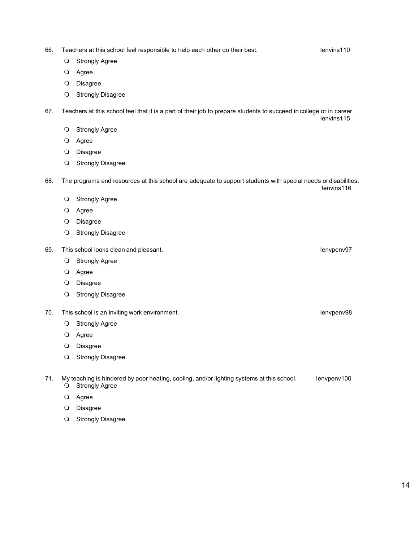66. Teachers at this school feel responsible to help each other do their best. In the state of the lenvins110

- **O** Strongly Agree
- O Agree
- O Disagree
- O Strongly Disagree

67. Teachers at this school feel that it is a part of their job to prepare students to succeed in college or in career. Ienvins115

- O Strongly Agree
- O Agree
- O Disagree
- O Strongly Disagree

68. The programs and resources at this school are adequate to support students with special needs ordisabilities. Ienvins116

- O Strongly Agree
- Agree
- O Disagree
- **O** Strongly Disagree
- 69. This school looks clean and pleasant. In this school looks clean and pleasant.
	- O Strongly Agree
	- Agree
	- O Disagree
	- **O** Strongly Disagree
- 70. This school is an inviting work environment. In the state of the state of the state of the lenvpenv98
	- **O** Strongly Agree
	- Agree
	- O Disagree
	- O Strongly Disagree

71. My teaching is hindered by poor heating, cooling, and/or lighting systems at this school. Ienvpenv100  $\overline{O}$  Strongly Agree

- O Agree
- O Disagree
- **O** Strongly Disagree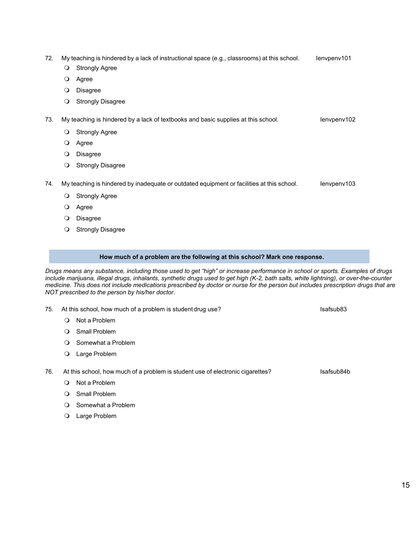- 72. My teaching is hindered by a lack of instructional space (e.g., classrooms) at this school. Ienvpenv101
	- O Strongly Agree
	- Agree
	- O Disagree
	- O Strongly Disagree

73. My teaching is hindered by a lack of textbooks and basic supplies at this school. Inversion the lenvpenv102

- O Strongly Agree
- Agree
- O Disagree
- O Strongly Disagree

74. My teaching is hindered by inadequate or outdated equipment or facilities at this school. Ienvpenv103

- O Strongly Agree
- O Agree
- O Disagree
- O Strongly Disagree

### **How much of a problem are the following at this school? Mark one response.**

*Drugs means any substance, including those used to get "high" or increase performance in school or sports. Examples of drugs include marijuana, illegal drugs, inhalants, synthetic drugs used to get high (K-2, bath salts, white lightning), or over-the-counter medicine. This does not include medications prescribed by doctor or nurse for the person but includes prescription drugs that are NOT prescribed to the person by his/her doctor.*

- 75. At this school, how much of a problem is student drug use? In the state of safsub83
	- O Not a Problem
	- O Small Problem
	- O Somewhat a Problem
	- Large Problem

76. At this school, how much of a problem is student use of electronic cigarettes? In this school, how much of a problem is student use of electronic cigarettes?

- Not a Problem
- O Small Problem
- O Somewhat a Problem
- Large Problem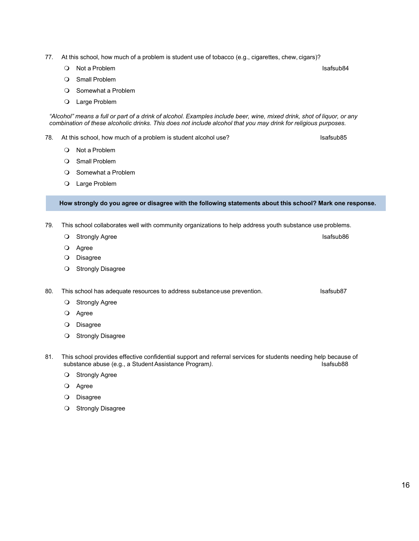- 77. At this school, how much of a problem is student use of tobacco (e.g., cigarettes, chew, cigars)?
	- O Not a Problem in the set of the set of the set of the set of the set of the set of the set of the set of the set of the set of the set of the set of the set of the set of the set of the set of the set of the set of the s
		- O Small Problem
		- O Somewhat a Problem
		- Large Problem

"Alcohol" means a full or part of a drink of alcohol. Examples include beer, wine, mixed drink, shot of liquor, or any *combination of these alcoholic drinks. This does not include alcohol that you may drink for religious purposes.*

- 78. At this school, how much of a problem is student alcohol use? The match of safsub85
	- Not a Problem
	- O Small Problem
	- O Somewhat a Problem
	- Large Problem

**How strongly do you agree or disagree with the following statements about this school? Mark one response.**

- 79. This school collaborates well with community organizations to help address youth substance use problems.
	- O Strongly Agree Isafsub86
	- Agree
	- O Disagree
	- O Strongly Disagree

80. This school has adequate resources to address substance use prevention. In this school has adequate resources to address substance use prevention.

- O Strongly Agree
- O Agree
- O Disagree
- **O** Strongly Disagree
- 81. This school provides effective confidential support and referral services for students needing help because of substance abuse (e.g., a Student Assistance Program). substance abuse (e.g., a Student Assistance Program).
	- O Strongly Agree
	- Agree
	- O Disagree
	- O Strongly Disagree